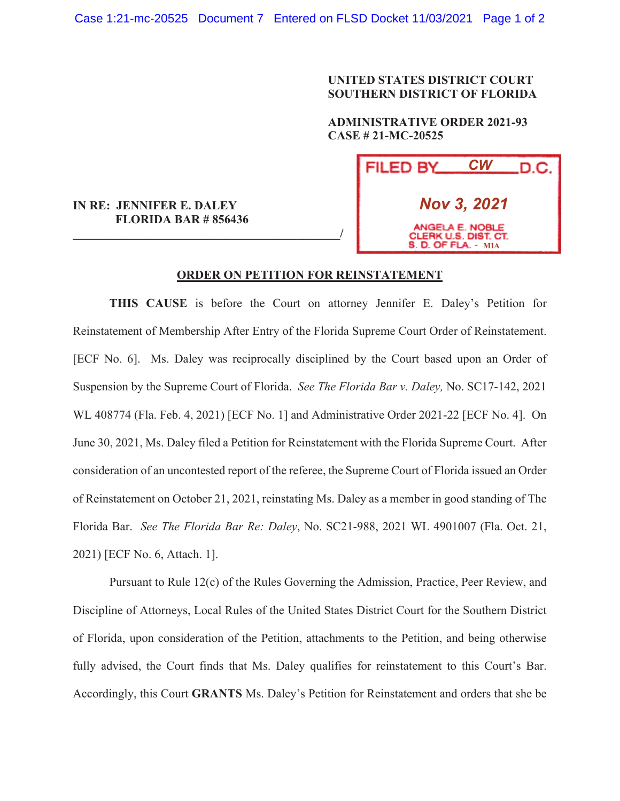## **UNITED STATES DISTRICT COURT SOUTHERN DISTRICT OF FLORIDA**

 **ADMINISTRATIVE ORDER 2021-93 CASE # 21-MC-20525** 

| FILED BY                                                              | <b>CW</b> | .D.C. |
|-----------------------------------------------------------------------|-----------|-------|
| <b>Nov 3, 2021</b>                                                    |           |       |
| ANGELA E. NOBLE<br>CLERK U.S. DIST. CT.<br><b>S. D. OF FLA. - MIA</b> |           |       |

## **FLORIDA BAR # 856436 \_\_\_\_\_\_\_\_\_\_\_\_\_\_\_\_\_\_\_\_\_\_\_\_\_\_\_\_\_\_\_\_\_\_\_\_\_\_\_\_\_\_\_\_/**

**IN RE: JENNIFER E. DALEY** 

## **ORDER ON PETITION FOR REINSTATEMENT**

**THIS CAUSE** is before the Court on attorney Jennifer E. Daley's Petition for Reinstatement of Membership After Entry of the Florida Supreme Court Order of Reinstatement. [ECF No. 6]. Ms. Daley was reciprocally disciplined by the Court based upon an Order of Suspension by the Supreme Court of Florida. *See The Florida Bar v. Daley,* No. SC17-142, 2021 WL 408774 (Fla. Feb. 4, 2021) [ECF No. 1] and Administrative Order 2021-22 [ECF No. 4]. On June 30, 2021, Ms. Daley filed a Petition for Reinstatement with the Florida Supreme Court. After consideration of an uncontested report of the referee, the Supreme Court of Florida issued an Order of Reinstatement on October 21, 2021, reinstating Ms. Daley as a member in good standing of The Florida Bar. *See The Florida Bar Re: Daley*, No. SC21-988, 2021 WL 4901007 (Fla. Oct. 21, 2021) [ECF No. 6, Attach. 1].

 Pursuant to Rule 12(c) of the Rules Governing the Admission, Practice, Peer Review, and Discipline of Attorneys, Local Rules of the United States District Court for the Southern District of Florida, upon consideration of the Petition, attachments to the Petition, and being otherwise fully advised, the Court finds that Ms. Daley qualifies for reinstatement to this Court's Bar. Accordingly, this Court **GRANTS** Ms. Daley's Petition for Reinstatement and orders that she be